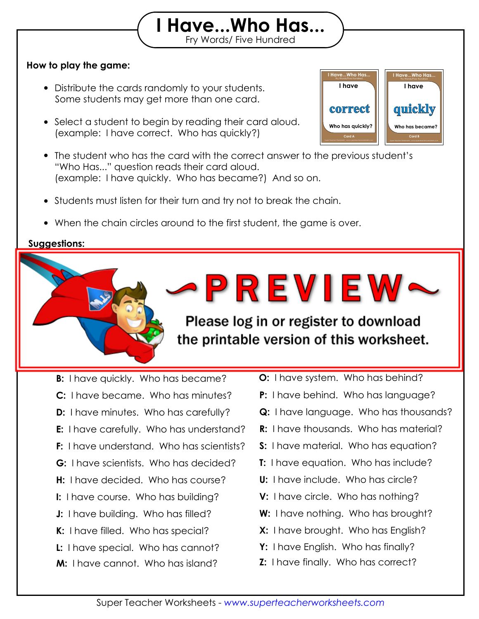## **How to play the game:**

- Distribute the cards randomly to your students. Some students may get more than one card.
- Select a student to begin by reading their card aloud. (example: I have correct. Who has quickly?)
- The student who has the card with the correct answer to the previous student's "Who Has..." question reads their card aloud. (example: I have quickly. Who has became?) And so on.

Print out the "I Have, Who Has" flashcards on card stock and laminate them so they will

Fry Words/ Five Hundred **I Have...Who Has...**

- Students must listen for their turn and try not to break the chain.
- When the chain circles around to the first student, the game is over.

then see if they can "beat the timer." Set a timer for 2 minutes, 5 minutes,

Challenge the game before the time the grate

## **Suggestions:**

**Answer Chain:**

last for many years to come.

or any amount of the street of the street of the street of the street of the street of the street of the street

**A:** I have correct. Who has quickly? **B:** I have quickly. Who has became? **D:** I have minutes. Who has carefully? **F:** I have understand. Who has scientists? **H:** I have decided. Who has course? **J:** I have building. Who has filled? **L:** I have special. Who has cannot? **M:** I have cannot. Who has island? **C:** I have became. Who has minutes? **E:** I have carefully. Who has understand? **G:** I have scientists. Who has decided? **I:** I have course. Who has building? **K:** I have filled. Who has special?

**O:** I have system. Who has behind? **N:** I have island. Who has system?

**PREVIEW-**

the printable version of this worksheet.

**P:** I have behind. Who has language?

Fry Words/Five Hundred **I Have...Who Has...**

**I Have...Who Has...**

**I have**

**Card B**

**Who has became?**

**quickly**

**I have**

**Card A**

**Who has quickly?**

**correct**

- **Q:** I have language. Who has thousands?
- **R:** I have thousands. Who has material?
- **S:** I have material. Who has equation?
- **T:** I have equation. Who has include?
- **U:** I have include. Who has circle?
- **V:** I have circle. Who has nothing?
- **W:** I have nothing. Who has brought?
- **X:** I have brought. Who has English?
- **Y:** I have English. Who has finally?
- **Z:** I have finally. Who has correct?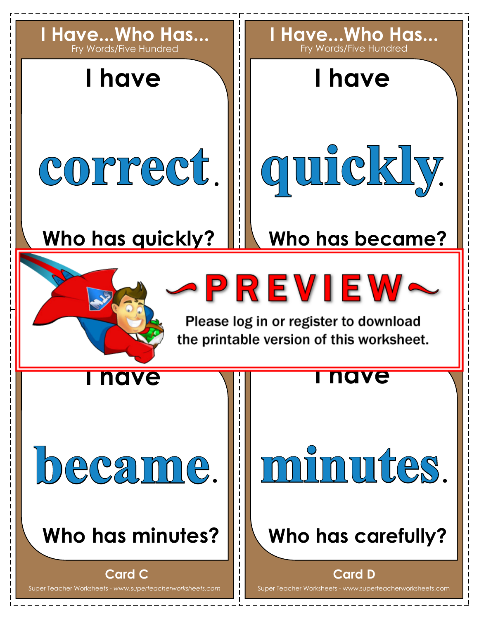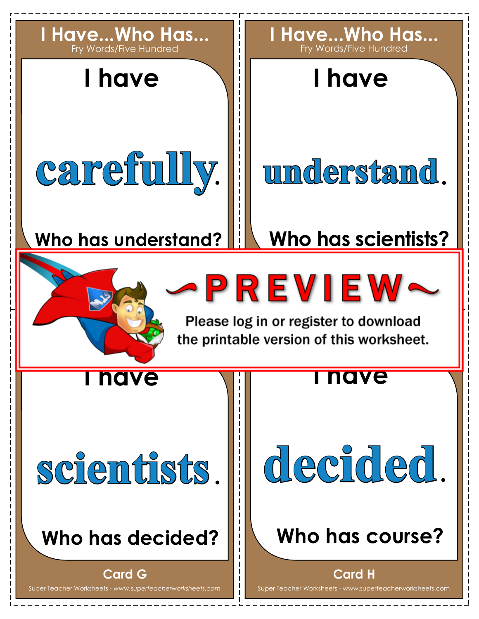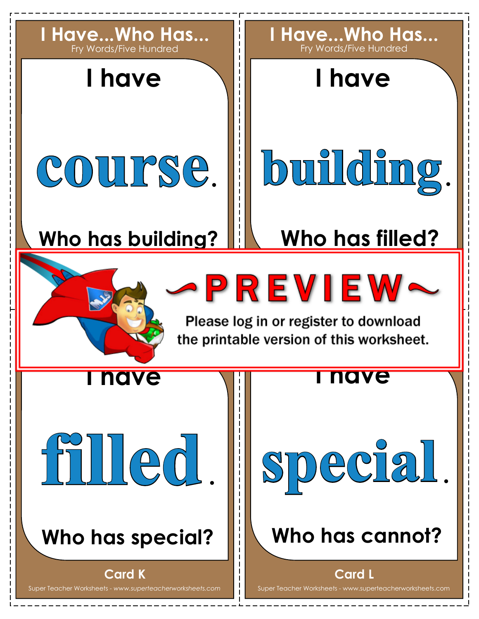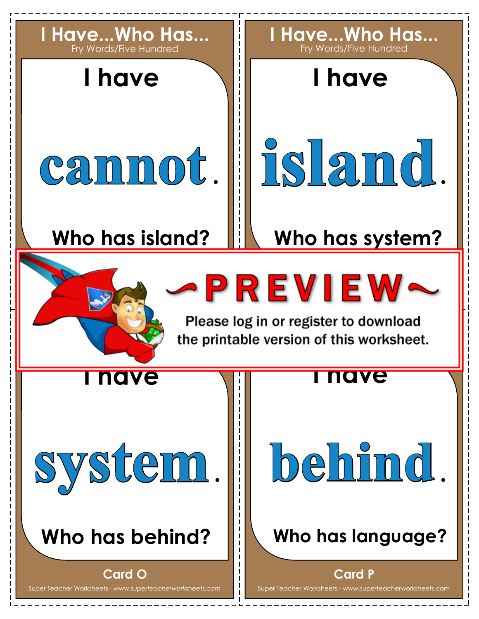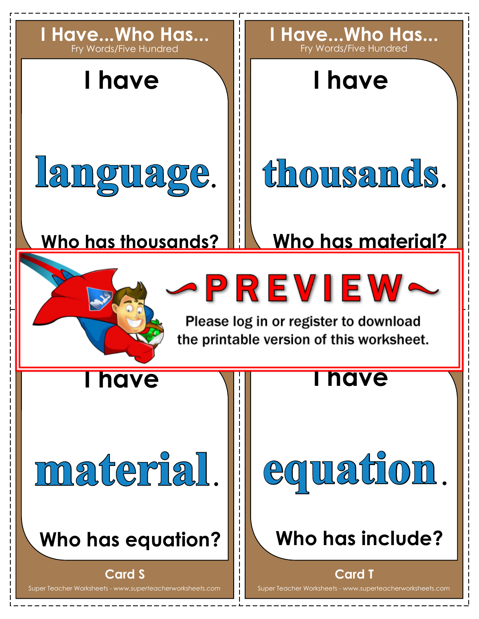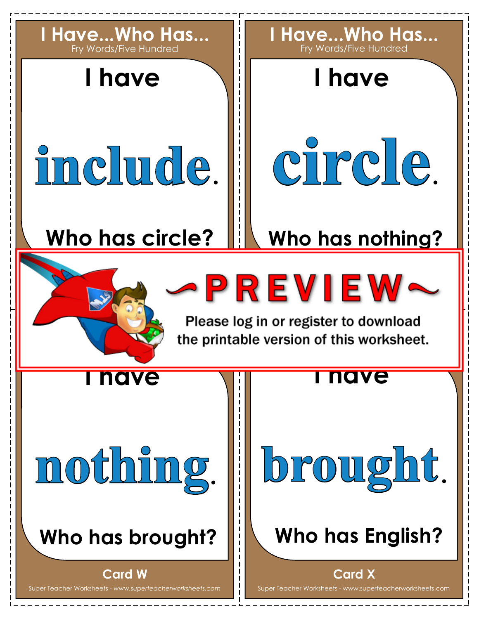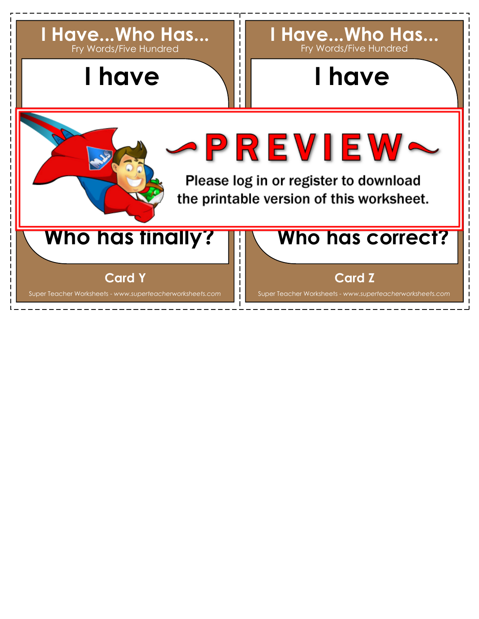